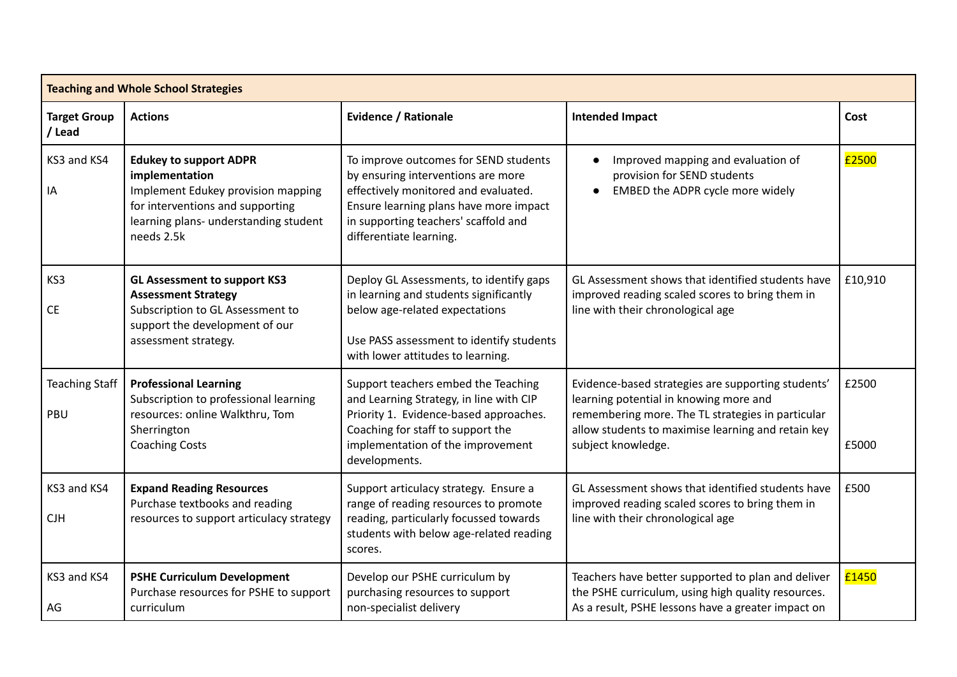| <b>Teaching and Whole School Strategies</b> |                                                                                                                                                                                  |                                                                                                                                                                                                                                  |                                                                                                                                                                                                                               |                |  |  |  |  |
|---------------------------------------------|----------------------------------------------------------------------------------------------------------------------------------------------------------------------------------|----------------------------------------------------------------------------------------------------------------------------------------------------------------------------------------------------------------------------------|-------------------------------------------------------------------------------------------------------------------------------------------------------------------------------------------------------------------------------|----------------|--|--|--|--|
| <b>Target Group</b><br>/ Lead               | <b>Actions</b>                                                                                                                                                                   | <b>Evidence / Rationale</b>                                                                                                                                                                                                      | <b>Intended Impact</b>                                                                                                                                                                                                        | Cost           |  |  |  |  |
| KS3 and KS4<br>IA                           | <b>Edukey to support ADPR</b><br>implementation<br>Implement Edukey provision mapping<br>for interventions and supporting<br>learning plans- understanding student<br>needs 2.5k | To improve outcomes for SEND students<br>by ensuring interventions are more<br>effectively monitored and evaluated.<br>Ensure learning plans have more impact<br>in supporting teachers' scaffold and<br>differentiate learning. | Improved mapping and evaluation of<br>provision for SEND students<br>EMBED the ADPR cycle more widely                                                                                                                         | £2500          |  |  |  |  |
| KS3<br><b>CE</b>                            | <b>GL Assessment to support KS3</b><br><b>Assessment Strategy</b><br>Subscription to GL Assessment to<br>support the development of our<br>assessment strategy.                  | Deploy GL Assessments, to identify gaps<br>in learning and students significantly<br>below age-related expectations<br>Use PASS assessment to identify students<br>with lower attitudes to learning.                             | GL Assessment shows that identified students have<br>improved reading scaled scores to bring them in<br>line with their chronological age                                                                                     | £10,910        |  |  |  |  |
| <b>Teaching Staff</b><br>PBU                | <b>Professional Learning</b><br>Subscription to professional learning<br>resources: online Walkthru, Tom<br>Sherrington<br><b>Coaching Costs</b>                                 | Support teachers embed the Teaching<br>and Learning Strategy, in line with CIP<br>Priority 1. Evidence-based approaches.<br>Coaching for staff to support the<br>implementation of the improvement<br>developments.              | Evidence-based strategies are supporting students'<br>learning potential in knowing more and<br>remembering more. The TL strategies in particular<br>allow students to maximise learning and retain key<br>subject knowledge. | £2500<br>£5000 |  |  |  |  |
| KS3 and KS4<br><b>CJH</b>                   | <b>Expand Reading Resources</b><br>Purchase textbooks and reading<br>resources to support articulacy strategy                                                                    | Support articulacy strategy. Ensure a<br>range of reading resources to promote<br>reading, particularly focussed towards<br>students with below age-related reading<br>scores.                                                   | GL Assessment shows that identified students have<br>improved reading scaled scores to bring them in<br>line with their chronological age                                                                                     | £500           |  |  |  |  |
| KS3 and KS4<br>AG                           | <b>PSHE Curriculum Development</b><br>Purchase resources for PSHE to support<br>curriculum                                                                                       | Develop our PSHE curriculum by<br>purchasing resources to support<br>non-specialist delivery                                                                                                                                     | Teachers have better supported to plan and deliver<br>the PSHE curriculum, using high quality resources.<br>As a result, PSHE lessons have a greater impact on                                                                | £1450          |  |  |  |  |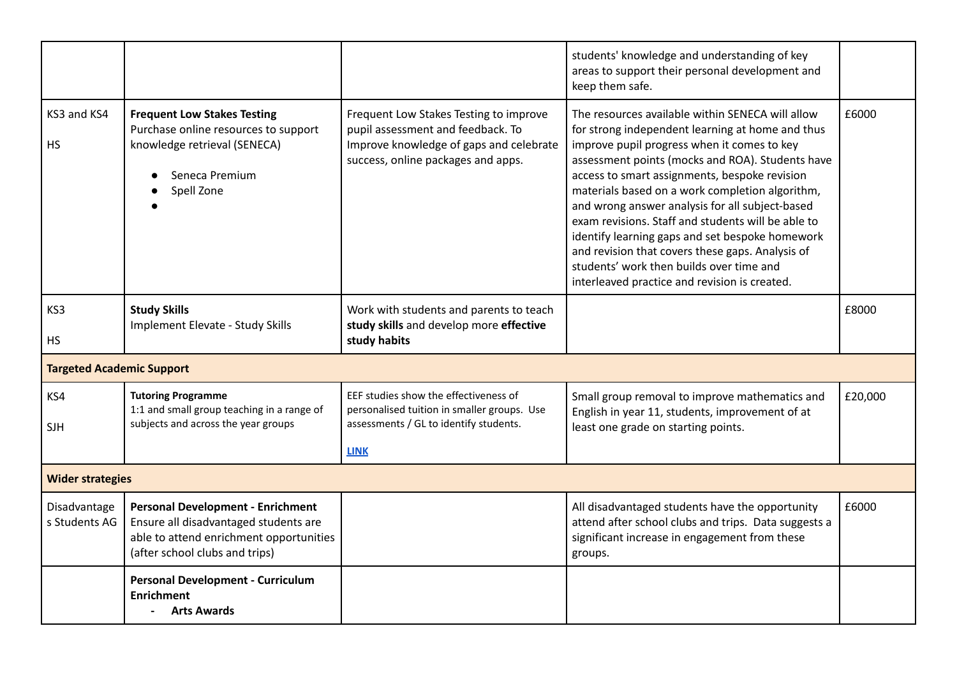|                                  |                                                                                                                                                                |                                                                                                                                                              | students' knowledge and understanding of key<br>areas to support their personal development and<br>keep them safe.                                                                                                                                                                                                                                                                                                                                                                                                                                                                                                       |         |  |  |  |
|----------------------------------|----------------------------------------------------------------------------------------------------------------------------------------------------------------|--------------------------------------------------------------------------------------------------------------------------------------------------------------|--------------------------------------------------------------------------------------------------------------------------------------------------------------------------------------------------------------------------------------------------------------------------------------------------------------------------------------------------------------------------------------------------------------------------------------------------------------------------------------------------------------------------------------------------------------------------------------------------------------------------|---------|--|--|--|
| KS3 and KS4<br>HS                | <b>Frequent Low Stakes Testing</b><br>Purchase online resources to support<br>knowledge retrieval (SENECA)<br>Seneca Premium<br>Spell Zone                     | Frequent Low Stakes Testing to improve<br>pupil assessment and feedback. To<br>Improve knowledge of gaps and celebrate<br>success, online packages and apps. | The resources available within SENECA will allow<br>for strong independent learning at home and thus<br>improve pupil progress when it comes to key<br>assessment points (mocks and ROA). Students have<br>access to smart assignments, bespoke revision<br>materials based on a work completion algorithm,<br>and wrong answer analysis for all subject-based<br>exam revisions. Staff and students will be able to<br>identify learning gaps and set bespoke homework<br>and revision that covers these gaps. Analysis of<br>students' work then builds over time and<br>interleaved practice and revision is created. | £6000   |  |  |  |
| KS3<br>HS.                       | <b>Study Skills</b><br><b>Implement Elevate - Study Skills</b>                                                                                                 | Work with students and parents to teach<br>study skills and develop more effective<br>study habits                                                           |                                                                                                                                                                                                                                                                                                                                                                                                                                                                                                                                                                                                                          | £8000   |  |  |  |
| <b>Targeted Academic Support</b> |                                                                                                                                                                |                                                                                                                                                              |                                                                                                                                                                                                                                                                                                                                                                                                                                                                                                                                                                                                                          |         |  |  |  |
| KS4<br><b>SJH</b>                | <b>Tutoring Programme</b><br>1:1 and small group teaching in a range of<br>subjects and across the year groups                                                 | EEF studies show the effectiveness of<br>personalised tuition in smaller groups. Use<br>assessments / GL to identify students.<br><b>LINK</b>                | Small group removal to improve mathematics and<br>English in year 11, students, improvement of at<br>least one grade on starting points.                                                                                                                                                                                                                                                                                                                                                                                                                                                                                 | £20,000 |  |  |  |
| <b>Wider strategies</b>          |                                                                                                                                                                |                                                                                                                                                              |                                                                                                                                                                                                                                                                                                                                                                                                                                                                                                                                                                                                                          |         |  |  |  |
| Disadvantage<br>s Students AG    | <b>Personal Development - Enrichment</b><br>Ensure all disadvantaged students are<br>able to attend enrichment opportunities<br>(after school clubs and trips) |                                                                                                                                                              | All disadvantaged students have the opportunity<br>attend after school clubs and trips. Data suggests a<br>significant increase in engagement from these<br>groups.                                                                                                                                                                                                                                                                                                                                                                                                                                                      | £6000   |  |  |  |
|                                  | <b>Personal Development - Curriculum</b><br><b>Enrichment</b><br><b>Arts Awards</b>                                                                            |                                                                                                                                                              |                                                                                                                                                                                                                                                                                                                                                                                                                                                                                                                                                                                                                          |         |  |  |  |